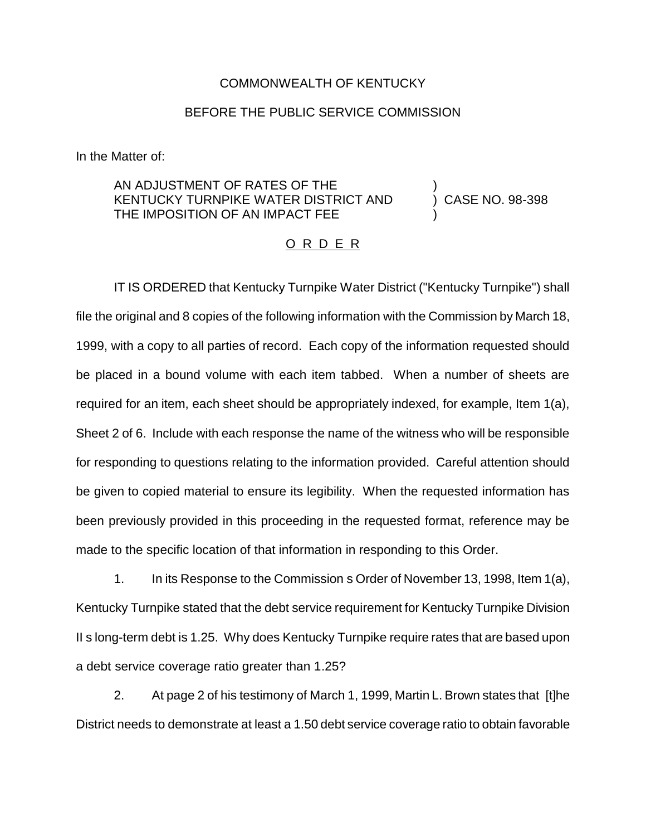## COMMONWEALTH OF KENTUCKY

## BEFORE THE PUBLIC SERVICE COMMISSION

In the Matter of:

## AN ADJUSTMENT OF RATES OF THE KENTUCKY TURNPIKE WATER DISTRICT AND THE IMPOSITION OF AN IMPACT FEE ) )

) CASE NO. 98-398

## O R D E R

IT IS ORDERED that Kentucky Turnpike Water District ("Kentucky Turnpike") shall file the original and 8 copies of the following information with the Commission by March 18, 1999, with a copy to all parties of record. Each copy of the information requested should be placed in a bound volume with each item tabbed. When a number of sheets are required for an item, each sheet should be appropriately indexed, for example, Item 1(a), Sheet 2 of 6. Include with each response the name of the witness who will be responsible for responding to questions relating to the information provided. Careful attention should be given to copied material to ensure its legibility. When the requested information has been previously provided in this proceeding in the requested format, reference may be made to the specific location of that information in responding to this Order.

1. In its Response to the Commission s Order of November 13, 1998, Item 1(a), Kentucky Turnpike stated that the debt service requirement for Kentucky Turnpike Division II s long-term debt is 1.25. Why does Kentucky Turnpike require rates that are based upon a debt service coverage ratio greater than 1.25?

2. At page 2 of his testimony of March 1, 1999, Martin L. Brown states that [t]he District needs to demonstrate at least a 1.50 debt service coverage ratio to obtain favorable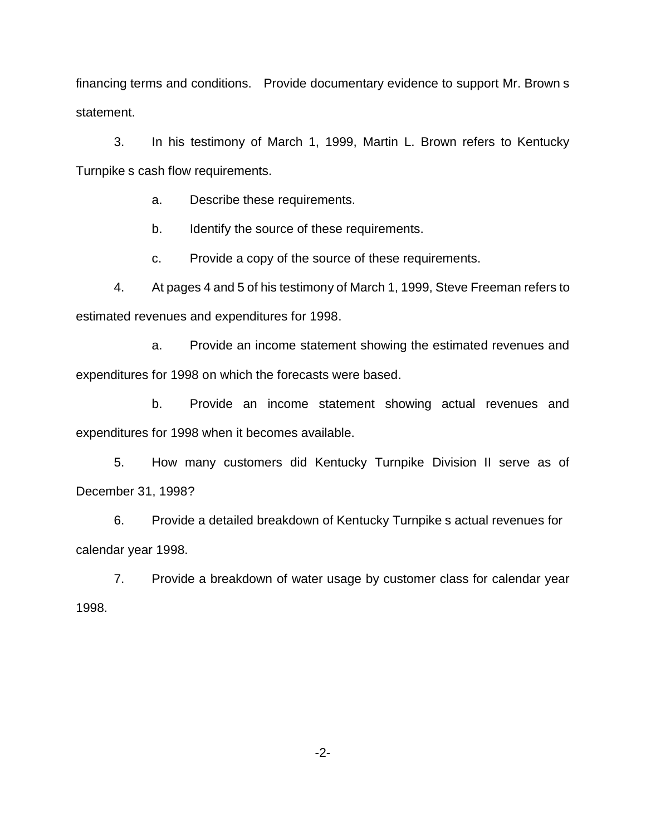financing terms and conditions. Provide documentary evidence to support Mr. Brown s statement.

3. In his testimony of March 1, 1999, Martin L. Brown refers to Kentucky Turnpike s cash flow requirements.

a. Describe these requirements.

b. Identify the source of these requirements.

c. Provide a copy of the source of these requirements.

4. At pages 4 and 5 of his testimony of March 1, 1999, Steve Freeman refers to estimated revenues and expenditures for 1998.

a. Provide an income statement showing the estimated revenues and expenditures for 1998 on which the forecasts were based.

b. Provide an income statement showing actual revenues and expenditures for 1998 when it becomes available.

5. How many customers did Kentucky Turnpike Division II serve as of December 31, 1998?

6. Provide a detailed breakdown of Kentucky Turnpike s actual revenues for calendar year 1998.

7. Provide a breakdown of water usage by customer class for calendar year 1998.

-2-